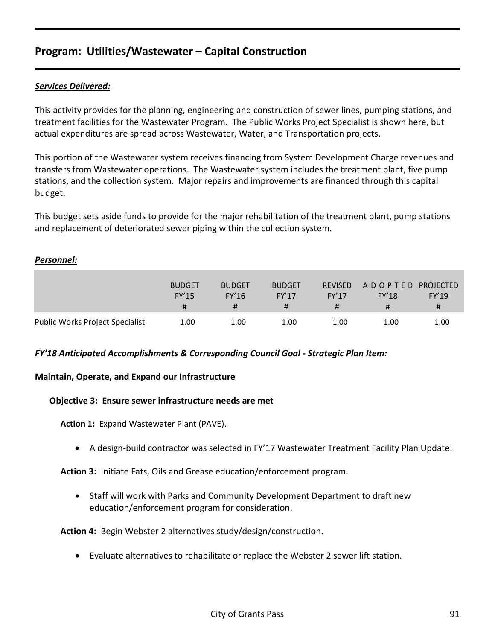#### *Services Delivered:*

This activity provides for the planning, engineering and construction of sewer lines, pumping stations, and treatment facilities for the Wastewater Program. The Public Works Project Specialist is shown here, but actual expenditures are spread across Wastewater, Water, and Transportation projects.

This portion of the Wastewater system receives financing from System Development Charge revenues and transfers from Wastewater operations. The Wastewater system includes the treatment plant, five pump stations, and the collection system. Major repairs and improvements are financed through this capital budget.

This budget sets aside funds to provide for the major rehabilitation of the treatment plant, pump stations and replacement of deteriorated sewer piping within the collection system.

#### *Personnel:*

|                                        | <b>BUDGET</b><br><b>FY'15</b> | <b>BUDGET</b><br>FY'16 | <b>BUDGET</b><br><b>FY'17</b> | <b>REVISED</b><br><b>FY'17</b> | A D O P T E D PROJECTED<br><b>FY'18</b> | FY'19 |
|----------------------------------------|-------------------------------|------------------------|-------------------------------|--------------------------------|-----------------------------------------|-------|
|                                        | Ħ                             |                        |                               |                                |                                         |       |
| <b>Public Works Project Specialist</b> | 1.00                          | 1.00                   | 1.00                          | 1.00                           | 1.00                                    | 1.00  |

#### *FY'18 Anticipated Accomplishments & Corresponding Council Goal - Strategic Plan Item:*

#### **Maintain, Operate, and Expand our Infrastructure**

#### **Objective 3: Ensure sewer infrastructure needs are met**

**Action 1:** Expand Wastewater Plant (PAVE).

• A design-build contractor was selected in FY'17 Wastewater Treatment Facility Plan Update.

**Action 3:** Initiate Fats, Oils and Grease education/enforcement program.

• Staff will work with Parks and Community Development Department to draft new education/enforcement program for consideration.

**Action 4:** Begin Webster 2 alternatives study/design/construction.

• Evaluate alternatives to rehabilitate or replace the Webster 2 sewer lift station.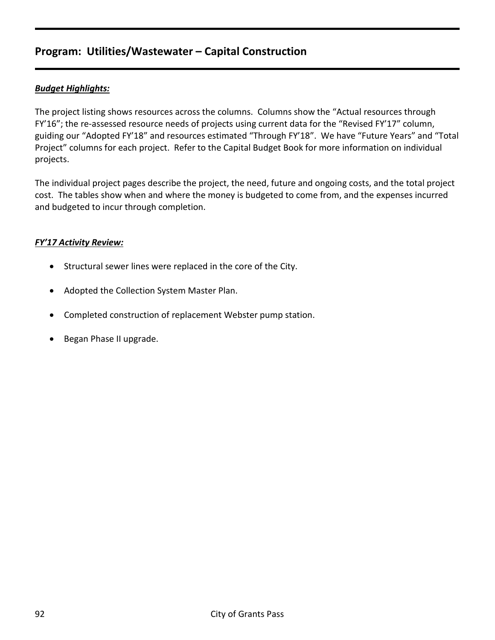#### *Budget Highlights:*

The project listing shows resources across the columns. Columns show the "Actual resources through FY'16"; the re-assessed resource needs of projects using current data for the "Revised FY'17" column, guiding our "Adopted FY'18" and resources estimated "Through FY'18". We have "Future Years" and "Total Project" columns for each project. Refer to the Capital Budget Book for more information on individual projects.

The individual project pages describe the project, the need, future and ongoing costs, and the total project cost. The tables show when and where the money is budgeted to come from, and the expenses incurred and budgeted to incur through completion.

#### *FY'17 Activity Review:*

- Structural sewer lines were replaced in the core of the City.
- Adopted the Collection System Master Plan.
- Completed construction of replacement Webster pump station.
- Began Phase II upgrade.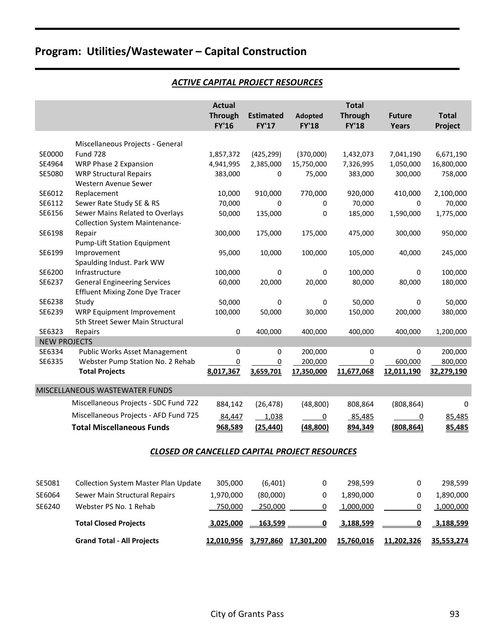## *ACTIVE CAPITAL PROJECT RESOURCES*

| <b>Actual</b><br><b>Total</b><br><b>Through</b><br><b>Estimated</b><br><b>Adopted</b><br><b>Through</b><br><b>Total</b><br><b>Future</b><br><b>FY'17</b><br><b>FY'16</b><br><b>FY'18</b><br><b>FY'18</b><br><b>Years</b><br>Project<br>Miscellaneous Projects - General<br>SE0000<br><b>Fund 728</b><br>1,857,372<br>(425, 299)<br>(370,000)<br>1,432,073<br>7,041,190<br>6,671,190<br>SE4964<br>WRP Phase 2 Expansion<br>4,941,995<br>2,385,000<br>15,750,000<br>7,326,995<br>1,050,000<br>16,800,000<br>SE5080<br><b>WRP Structural Repairs</b><br>383,000<br>383,000<br>300,000<br>758,000<br>0<br>75,000<br>Western Avenue Sewer<br>SE6012<br>10,000<br>910,000<br>770,000<br>920,000<br>410,000<br>2,100,000<br>Replacement<br>SE6112<br>Sewer Rate Study SE & RS<br>70,000<br>70,000<br>70,000<br>0<br>0<br>0<br>SE6156<br>Sewer Mains Related to Overlays<br>50,000<br>135,000<br>0<br>185,000<br>1,590,000<br>1,775,000<br><b>Collection System Maintenance-</b><br>SE6198<br>Repair<br>300,000<br>175,000<br>175,000<br>475,000<br>300,000<br>950,000<br><b>Pump-Lift Station Equipment</b><br>SE6199<br>Improvement<br>100,000<br>245,000<br>95,000<br>10,000<br>105,000<br>40,000<br>Spaulding Indust. Park WW<br>SE6200<br>Infrastructure<br>100,000<br>100,000<br>100,000<br>0<br>0<br>0<br>SE6237<br><b>General Engineering Services</b><br>20,000<br>20,000<br>80,000<br>80,000<br>180,000<br>60,000<br><b>Effluent Mixing Zone Dye Tracer</b><br>SE6238<br>Study<br>50,000<br>0<br>50,000<br>50,000<br>0<br>0<br>SE6239<br>WRP Equipment Improvement<br>100,000<br>50,000<br>30,000<br>150,000<br>380,000<br>200,000<br>5th Street Sewer Main Structural<br>SE6323<br>0<br>400,000<br>400,000<br>1,200,000<br>Repairs<br>400,000<br>400,000<br><b>NEW PROJECTS</b><br>SE6334<br><b>Public Works Asset Management</b><br>0<br>200,000<br>200,000<br>0<br>0<br>0<br>SE6335<br>Webster Pump Station No. 2 Rehab<br>0<br>0<br>200,000<br>800,000<br>0<br>600,000<br>8,017,367<br>3,659,701<br>17,350,000<br>11,677,068<br>12,011,190<br>32,279,190<br><b>Total Projects</b><br>MISCELLANEOUS WASTEWATER FUNDS<br>Miscellaneous Projects - SDC Fund 722<br>(48, 800)<br>884,142<br>(26, 478)<br>808,864<br>(808, 864)<br>0<br>Miscellaneous Projects - AFD Fund 725<br>84,447<br>1,038<br>$\overline{0}$<br>85,485<br>85,485<br><u>0</u><br><b>Total Miscellaneous Funds</b><br>(25, 440)<br>(48, 800)<br>(808, 864)<br>968,589<br>894,349<br>85,485<br><b>CLOSED OR CANCELLED CAPITAL PROJECT RESOURCES</b><br>Collection System Master Plan Update<br>305,000<br>(6,401)<br>298,599<br>0<br>298,599<br>0<br>Sewer Main Structural Repairs<br>1,970,000<br>(80,000)<br>1,890,000<br>SE6064<br>0<br>1,890,000<br>0<br>1,000,000<br>Webster PS No. 1 Rehab<br>750,000<br>250,000<br>0<br>1,000,000<br>0 |        |  |  |  |  |
|-------------------------------------------------------------------------------------------------------------------------------------------------------------------------------------------------------------------------------------------------------------------------------------------------------------------------------------------------------------------------------------------------------------------------------------------------------------------------------------------------------------------------------------------------------------------------------------------------------------------------------------------------------------------------------------------------------------------------------------------------------------------------------------------------------------------------------------------------------------------------------------------------------------------------------------------------------------------------------------------------------------------------------------------------------------------------------------------------------------------------------------------------------------------------------------------------------------------------------------------------------------------------------------------------------------------------------------------------------------------------------------------------------------------------------------------------------------------------------------------------------------------------------------------------------------------------------------------------------------------------------------------------------------------------------------------------------------------------------------------------------------------------------------------------------------------------------------------------------------------------------------------------------------------------------------------------------------------------------------------------------------------------------------------------------------------------------------------------------------------------------------------------------------------------------------------------------------------------------------------------------------------------------------------------------------------------------------------------------------------------------------------------------------------------------------------------------------------------------------------------------------------------------------------------------------------------------------------------------------------------------------------------------------------------------------------------------------------------------------------------------------------------------------------------------------------|--------|--|--|--|--|
|                                                                                                                                                                                                                                                                                                                                                                                                                                                                                                                                                                                                                                                                                                                                                                                                                                                                                                                                                                                                                                                                                                                                                                                                                                                                                                                                                                                                                                                                                                                                                                                                                                                                                                                                                                                                                                                                                                                                                                                                                                                                                                                                                                                                                                                                                                                                                                                                                                                                                                                                                                                                                                                                                                                                                                                                                   |        |  |  |  |  |
|                                                                                                                                                                                                                                                                                                                                                                                                                                                                                                                                                                                                                                                                                                                                                                                                                                                                                                                                                                                                                                                                                                                                                                                                                                                                                                                                                                                                                                                                                                                                                                                                                                                                                                                                                                                                                                                                                                                                                                                                                                                                                                                                                                                                                                                                                                                                                                                                                                                                                                                                                                                                                                                                                                                                                                                                                   |        |  |  |  |  |
|                                                                                                                                                                                                                                                                                                                                                                                                                                                                                                                                                                                                                                                                                                                                                                                                                                                                                                                                                                                                                                                                                                                                                                                                                                                                                                                                                                                                                                                                                                                                                                                                                                                                                                                                                                                                                                                                                                                                                                                                                                                                                                                                                                                                                                                                                                                                                                                                                                                                                                                                                                                                                                                                                                                                                                                                                   |        |  |  |  |  |
|                                                                                                                                                                                                                                                                                                                                                                                                                                                                                                                                                                                                                                                                                                                                                                                                                                                                                                                                                                                                                                                                                                                                                                                                                                                                                                                                                                                                                                                                                                                                                                                                                                                                                                                                                                                                                                                                                                                                                                                                                                                                                                                                                                                                                                                                                                                                                                                                                                                                                                                                                                                                                                                                                                                                                                                                                   |        |  |  |  |  |
|                                                                                                                                                                                                                                                                                                                                                                                                                                                                                                                                                                                                                                                                                                                                                                                                                                                                                                                                                                                                                                                                                                                                                                                                                                                                                                                                                                                                                                                                                                                                                                                                                                                                                                                                                                                                                                                                                                                                                                                                                                                                                                                                                                                                                                                                                                                                                                                                                                                                                                                                                                                                                                                                                                                                                                                                                   |        |  |  |  |  |
|                                                                                                                                                                                                                                                                                                                                                                                                                                                                                                                                                                                                                                                                                                                                                                                                                                                                                                                                                                                                                                                                                                                                                                                                                                                                                                                                                                                                                                                                                                                                                                                                                                                                                                                                                                                                                                                                                                                                                                                                                                                                                                                                                                                                                                                                                                                                                                                                                                                                                                                                                                                                                                                                                                                                                                                                                   |        |  |  |  |  |
|                                                                                                                                                                                                                                                                                                                                                                                                                                                                                                                                                                                                                                                                                                                                                                                                                                                                                                                                                                                                                                                                                                                                                                                                                                                                                                                                                                                                                                                                                                                                                                                                                                                                                                                                                                                                                                                                                                                                                                                                                                                                                                                                                                                                                                                                                                                                                                                                                                                                                                                                                                                                                                                                                                                                                                                                                   |        |  |  |  |  |
|                                                                                                                                                                                                                                                                                                                                                                                                                                                                                                                                                                                                                                                                                                                                                                                                                                                                                                                                                                                                                                                                                                                                                                                                                                                                                                                                                                                                                                                                                                                                                                                                                                                                                                                                                                                                                                                                                                                                                                                                                                                                                                                                                                                                                                                                                                                                                                                                                                                                                                                                                                                                                                                                                                                                                                                                                   |        |  |  |  |  |
|                                                                                                                                                                                                                                                                                                                                                                                                                                                                                                                                                                                                                                                                                                                                                                                                                                                                                                                                                                                                                                                                                                                                                                                                                                                                                                                                                                                                                                                                                                                                                                                                                                                                                                                                                                                                                                                                                                                                                                                                                                                                                                                                                                                                                                                                                                                                                                                                                                                                                                                                                                                                                                                                                                                                                                                                                   |        |  |  |  |  |
|                                                                                                                                                                                                                                                                                                                                                                                                                                                                                                                                                                                                                                                                                                                                                                                                                                                                                                                                                                                                                                                                                                                                                                                                                                                                                                                                                                                                                                                                                                                                                                                                                                                                                                                                                                                                                                                                                                                                                                                                                                                                                                                                                                                                                                                                                                                                                                                                                                                                                                                                                                                                                                                                                                                                                                                                                   |        |  |  |  |  |
|                                                                                                                                                                                                                                                                                                                                                                                                                                                                                                                                                                                                                                                                                                                                                                                                                                                                                                                                                                                                                                                                                                                                                                                                                                                                                                                                                                                                                                                                                                                                                                                                                                                                                                                                                                                                                                                                                                                                                                                                                                                                                                                                                                                                                                                                                                                                                                                                                                                                                                                                                                                                                                                                                                                                                                                                                   |        |  |  |  |  |
|                                                                                                                                                                                                                                                                                                                                                                                                                                                                                                                                                                                                                                                                                                                                                                                                                                                                                                                                                                                                                                                                                                                                                                                                                                                                                                                                                                                                                                                                                                                                                                                                                                                                                                                                                                                                                                                                                                                                                                                                                                                                                                                                                                                                                                                                                                                                                                                                                                                                                                                                                                                                                                                                                                                                                                                                                   |        |  |  |  |  |
|                                                                                                                                                                                                                                                                                                                                                                                                                                                                                                                                                                                                                                                                                                                                                                                                                                                                                                                                                                                                                                                                                                                                                                                                                                                                                                                                                                                                                                                                                                                                                                                                                                                                                                                                                                                                                                                                                                                                                                                                                                                                                                                                                                                                                                                                                                                                                                                                                                                                                                                                                                                                                                                                                                                                                                                                                   |        |  |  |  |  |
|                                                                                                                                                                                                                                                                                                                                                                                                                                                                                                                                                                                                                                                                                                                                                                                                                                                                                                                                                                                                                                                                                                                                                                                                                                                                                                                                                                                                                                                                                                                                                                                                                                                                                                                                                                                                                                                                                                                                                                                                                                                                                                                                                                                                                                                                                                                                                                                                                                                                                                                                                                                                                                                                                                                                                                                                                   |        |  |  |  |  |
|                                                                                                                                                                                                                                                                                                                                                                                                                                                                                                                                                                                                                                                                                                                                                                                                                                                                                                                                                                                                                                                                                                                                                                                                                                                                                                                                                                                                                                                                                                                                                                                                                                                                                                                                                                                                                                                                                                                                                                                                                                                                                                                                                                                                                                                                                                                                                                                                                                                                                                                                                                                                                                                                                                                                                                                                                   |        |  |  |  |  |
|                                                                                                                                                                                                                                                                                                                                                                                                                                                                                                                                                                                                                                                                                                                                                                                                                                                                                                                                                                                                                                                                                                                                                                                                                                                                                                                                                                                                                                                                                                                                                                                                                                                                                                                                                                                                                                                                                                                                                                                                                                                                                                                                                                                                                                                                                                                                                                                                                                                                                                                                                                                                                                                                                                                                                                                                                   |        |  |  |  |  |
|                                                                                                                                                                                                                                                                                                                                                                                                                                                                                                                                                                                                                                                                                                                                                                                                                                                                                                                                                                                                                                                                                                                                                                                                                                                                                                                                                                                                                                                                                                                                                                                                                                                                                                                                                                                                                                                                                                                                                                                                                                                                                                                                                                                                                                                                                                                                                                                                                                                                                                                                                                                                                                                                                                                                                                                                                   |        |  |  |  |  |
|                                                                                                                                                                                                                                                                                                                                                                                                                                                                                                                                                                                                                                                                                                                                                                                                                                                                                                                                                                                                                                                                                                                                                                                                                                                                                                                                                                                                                                                                                                                                                                                                                                                                                                                                                                                                                                                                                                                                                                                                                                                                                                                                                                                                                                                                                                                                                                                                                                                                                                                                                                                                                                                                                                                                                                                                                   |        |  |  |  |  |
|                                                                                                                                                                                                                                                                                                                                                                                                                                                                                                                                                                                                                                                                                                                                                                                                                                                                                                                                                                                                                                                                                                                                                                                                                                                                                                                                                                                                                                                                                                                                                                                                                                                                                                                                                                                                                                                                                                                                                                                                                                                                                                                                                                                                                                                                                                                                                                                                                                                                                                                                                                                                                                                                                                                                                                                                                   |        |  |  |  |  |
|                                                                                                                                                                                                                                                                                                                                                                                                                                                                                                                                                                                                                                                                                                                                                                                                                                                                                                                                                                                                                                                                                                                                                                                                                                                                                                                                                                                                                                                                                                                                                                                                                                                                                                                                                                                                                                                                                                                                                                                                                                                                                                                                                                                                                                                                                                                                                                                                                                                                                                                                                                                                                                                                                                                                                                                                                   |        |  |  |  |  |
|                                                                                                                                                                                                                                                                                                                                                                                                                                                                                                                                                                                                                                                                                                                                                                                                                                                                                                                                                                                                                                                                                                                                                                                                                                                                                                                                                                                                                                                                                                                                                                                                                                                                                                                                                                                                                                                                                                                                                                                                                                                                                                                                                                                                                                                                                                                                                                                                                                                                                                                                                                                                                                                                                                                                                                                                                   |        |  |  |  |  |
|                                                                                                                                                                                                                                                                                                                                                                                                                                                                                                                                                                                                                                                                                                                                                                                                                                                                                                                                                                                                                                                                                                                                                                                                                                                                                                                                                                                                                                                                                                                                                                                                                                                                                                                                                                                                                                                                                                                                                                                                                                                                                                                                                                                                                                                                                                                                                                                                                                                                                                                                                                                                                                                                                                                                                                                                                   |        |  |  |  |  |
|                                                                                                                                                                                                                                                                                                                                                                                                                                                                                                                                                                                                                                                                                                                                                                                                                                                                                                                                                                                                                                                                                                                                                                                                                                                                                                                                                                                                                                                                                                                                                                                                                                                                                                                                                                                                                                                                                                                                                                                                                                                                                                                                                                                                                                                                                                                                                                                                                                                                                                                                                                                                                                                                                                                                                                                                                   |        |  |  |  |  |
|                                                                                                                                                                                                                                                                                                                                                                                                                                                                                                                                                                                                                                                                                                                                                                                                                                                                                                                                                                                                                                                                                                                                                                                                                                                                                                                                                                                                                                                                                                                                                                                                                                                                                                                                                                                                                                                                                                                                                                                                                                                                                                                                                                                                                                                                                                                                                                                                                                                                                                                                                                                                                                                                                                                                                                                                                   |        |  |  |  |  |
|                                                                                                                                                                                                                                                                                                                                                                                                                                                                                                                                                                                                                                                                                                                                                                                                                                                                                                                                                                                                                                                                                                                                                                                                                                                                                                                                                                                                                                                                                                                                                                                                                                                                                                                                                                                                                                                                                                                                                                                                                                                                                                                                                                                                                                                                                                                                                                                                                                                                                                                                                                                                                                                                                                                                                                                                                   |        |  |  |  |  |
|                                                                                                                                                                                                                                                                                                                                                                                                                                                                                                                                                                                                                                                                                                                                                                                                                                                                                                                                                                                                                                                                                                                                                                                                                                                                                                                                                                                                                                                                                                                                                                                                                                                                                                                                                                                                                                                                                                                                                                                                                                                                                                                                                                                                                                                                                                                                                                                                                                                                                                                                                                                                                                                                                                                                                                                                                   |        |  |  |  |  |
|                                                                                                                                                                                                                                                                                                                                                                                                                                                                                                                                                                                                                                                                                                                                                                                                                                                                                                                                                                                                                                                                                                                                                                                                                                                                                                                                                                                                                                                                                                                                                                                                                                                                                                                                                                                                                                                                                                                                                                                                                                                                                                                                                                                                                                                                                                                                                                                                                                                                                                                                                                                                                                                                                                                                                                                                                   |        |  |  |  |  |
|                                                                                                                                                                                                                                                                                                                                                                                                                                                                                                                                                                                                                                                                                                                                                                                                                                                                                                                                                                                                                                                                                                                                                                                                                                                                                                                                                                                                                                                                                                                                                                                                                                                                                                                                                                                                                                                                                                                                                                                                                                                                                                                                                                                                                                                                                                                                                                                                                                                                                                                                                                                                                                                                                                                                                                                                                   |        |  |  |  |  |
|                                                                                                                                                                                                                                                                                                                                                                                                                                                                                                                                                                                                                                                                                                                                                                                                                                                                                                                                                                                                                                                                                                                                                                                                                                                                                                                                                                                                                                                                                                                                                                                                                                                                                                                                                                                                                                                                                                                                                                                                                                                                                                                                                                                                                                                                                                                                                                                                                                                                                                                                                                                                                                                                                                                                                                                                                   |        |  |  |  |  |
|                                                                                                                                                                                                                                                                                                                                                                                                                                                                                                                                                                                                                                                                                                                                                                                                                                                                                                                                                                                                                                                                                                                                                                                                                                                                                                                                                                                                                                                                                                                                                                                                                                                                                                                                                                                                                                                                                                                                                                                                                                                                                                                                                                                                                                                                                                                                                                                                                                                                                                                                                                                                                                                                                                                                                                                                                   |        |  |  |  |  |
|                                                                                                                                                                                                                                                                                                                                                                                                                                                                                                                                                                                                                                                                                                                                                                                                                                                                                                                                                                                                                                                                                                                                                                                                                                                                                                                                                                                                                                                                                                                                                                                                                                                                                                                                                                                                                                                                                                                                                                                                                                                                                                                                                                                                                                                                                                                                                                                                                                                                                                                                                                                                                                                                                                                                                                                                                   |        |  |  |  |  |
|                                                                                                                                                                                                                                                                                                                                                                                                                                                                                                                                                                                                                                                                                                                                                                                                                                                                                                                                                                                                                                                                                                                                                                                                                                                                                                                                                                                                                                                                                                                                                                                                                                                                                                                                                                                                                                                                                                                                                                                                                                                                                                                                                                                                                                                                                                                                                                                                                                                                                                                                                                                                                                                                                                                                                                                                                   |        |  |  |  |  |
|                                                                                                                                                                                                                                                                                                                                                                                                                                                                                                                                                                                                                                                                                                                                                                                                                                                                                                                                                                                                                                                                                                                                                                                                                                                                                                                                                                                                                                                                                                                                                                                                                                                                                                                                                                                                                                                                                                                                                                                                                                                                                                                                                                                                                                                                                                                                                                                                                                                                                                                                                                                                                                                                                                                                                                                                                   | SE5081 |  |  |  |  |
|                                                                                                                                                                                                                                                                                                                                                                                                                                                                                                                                                                                                                                                                                                                                                                                                                                                                                                                                                                                                                                                                                                                                                                                                                                                                                                                                                                                                                                                                                                                                                                                                                                                                                                                                                                                                                                                                                                                                                                                                                                                                                                                                                                                                                                                                                                                                                                                                                                                                                                                                                                                                                                                                                                                                                                                                                   |        |  |  |  |  |
|                                                                                                                                                                                                                                                                                                                                                                                                                                                                                                                                                                                                                                                                                                                                                                                                                                                                                                                                                                                                                                                                                                                                                                                                                                                                                                                                                                                                                                                                                                                                                                                                                                                                                                                                                                                                                                                                                                                                                                                                                                                                                                                                                                                                                                                                                                                                                                                                                                                                                                                                                                                                                                                                                                                                                                                                                   | SE6240 |  |  |  |  |

| <b>Total Closed Projects</b>      | 3,025,000 | 163,599 |                                        | 3,188,599 | <u>3,188,599</u> |
|-----------------------------------|-----------|---------|----------------------------------------|-----------|------------------|
| <b>Grand Total - All Projects</b> |           |         | <u>12,010,956 3,797,860 17,301,200</u> |           |                  |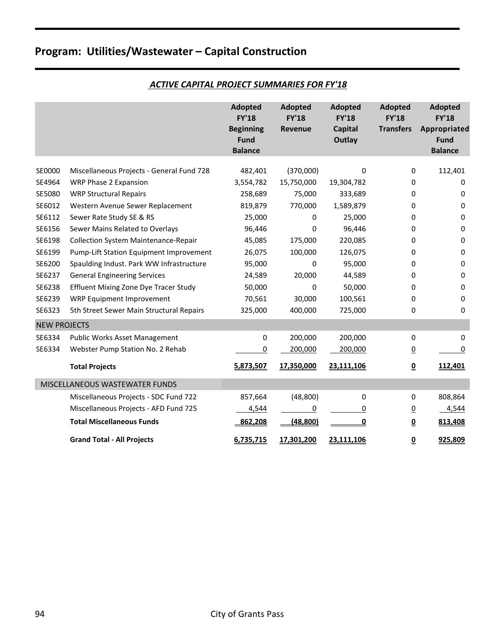|                     |                                             | <b>Adopted</b><br><b>FY'18</b><br><b>Beginning</b><br><b>Fund</b><br><b>Balance</b> | <b>Adopted</b><br><b>FY'18</b><br><b>Revenue</b> | <b>Adopted</b><br><b>FY'18</b><br><b>Capital</b><br>Outlay | <b>Adopted</b><br><b>FY'18</b><br><b>Transfers</b> | <b>Adopted</b><br><b>FY'18</b><br>Appropriated<br><b>Fund</b><br><b>Balance</b> |
|---------------------|---------------------------------------------|-------------------------------------------------------------------------------------|--------------------------------------------------|------------------------------------------------------------|----------------------------------------------------|---------------------------------------------------------------------------------|
| SE0000              | Miscellaneous Projects - General Fund 728   | 482,401                                                                             | (370,000)                                        | $\Omega$                                                   | 0                                                  | 112,401                                                                         |
| SE4964              | WRP Phase 2 Expansion                       | 3,554,782                                                                           | 15,750,000                                       | 19,304,782                                                 | 0                                                  | 0                                                                               |
| SE5080              | <b>WRP Structural Repairs</b>               | 258,689                                                                             | 75,000                                           | 333,689                                                    | 0                                                  | 0                                                                               |
| SE6012              | Western Avenue Sewer Replacement            | 819,879                                                                             | 770,000                                          | 1,589,879                                                  | 0                                                  | 0                                                                               |
| SE6112              | Sewer Rate Study SE & RS                    | 25,000                                                                              | 0                                                | 25,000                                                     | 0                                                  | 0                                                                               |
| SE6156              | Sewer Mains Related to Overlays             | 96,446                                                                              | 0                                                | 96,446                                                     | 0                                                  | $\mathbf 0$                                                                     |
| SE6198              | <b>Collection System Maintenance-Repair</b> | 45,085                                                                              | 175,000                                          | 220,085                                                    | 0                                                  | 0                                                                               |
| SE6199              | Pump-Lift Station Equipment Improvement     | 26,075                                                                              | 100,000                                          | 126,075                                                    | 0                                                  | 0                                                                               |
| SE6200              | Spaulding Indust. Park WW Infrastructure    | 95,000                                                                              | 0                                                | 95,000                                                     | 0                                                  | $\Omega$                                                                        |
| SE6237              | <b>General Engineering Services</b>         | 24,589                                                                              | 20,000                                           | 44,589                                                     | 0                                                  | 0                                                                               |
| SE6238              | Effluent Mixing Zone Dye Tracer Study       | 50,000                                                                              | 0                                                | 50,000                                                     | 0                                                  | 0                                                                               |
| SE6239              | WRP Equipment Improvement                   | 70,561                                                                              | 30,000                                           | 100,561                                                    | 0                                                  | $\mathbf 0$                                                                     |
| SE6323              | 5th Street Sewer Main Structural Repairs    | 325,000                                                                             | 400,000                                          | 725,000                                                    | 0                                                  | 0                                                                               |
| <b>NEW PROJECTS</b> |                                             |                                                                                     |                                                  |                                                            |                                                    |                                                                                 |
| SE6334              | <b>Public Works Asset Management</b>        | 0                                                                                   | 200,000                                          | 200,000                                                    | 0                                                  | 0                                                                               |
| SE6334              | Webster Pump Station No. 2 Rehab            | 0                                                                                   | 200,000                                          | 200,000                                                    | $\overline{0}$                                     | 0                                                                               |
|                     | <b>Total Projects</b>                       | 5,873,507                                                                           | 17,350,000                                       | 23,111,106                                                 | $\underline{\mathbf{0}}$                           | 112,401                                                                         |
|                     | MISCELLANEOUS WASTEWATER FUNDS              |                                                                                     |                                                  |                                                            |                                                    |                                                                                 |
|                     | Miscellaneous Projects - SDC Fund 722       | 857,664                                                                             | (48, 800)                                        | $\mathbf 0$                                                | 0                                                  | 808,864                                                                         |
|                     | Miscellaneous Projects - AFD Fund 725       | 4,544                                                                               | $\overline{0}$                                   | 0                                                          | $\overline{0}$                                     | 4,544                                                                           |
|                     | <b>Total Miscellaneous Funds</b>            | 862,208                                                                             | (48, 800)                                        | 0                                                          | $\underline{\mathbf{0}}$                           | 813,408                                                                         |
|                     | <b>Grand Total - All Projects</b>           | 6,735,715                                                                           | 17,301,200                                       | 23,111,106                                                 | $\underline{\underline{0}}$                        | 925,809                                                                         |

#### *ACTIVE CAPITAL PROJECT SUMMARIES FOR FY'18*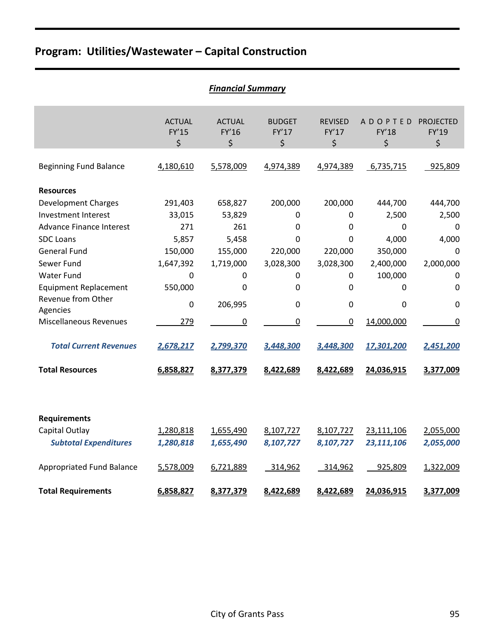|                                 |                              | <b>Financial Summary</b>     |                              |                               |                                      |                                 |
|---------------------------------|------------------------------|------------------------------|------------------------------|-------------------------------|--------------------------------------|---------------------------------|
|                                 | <b>ACTUAL</b><br>FY'15<br>\$ | <b>ACTUAL</b><br>FY'16<br>\$ | <b>BUDGET</b><br>FY'17<br>\$ | <b>REVISED</b><br>FY'17<br>\$ | <b>ADOPTED</b><br><b>FY'18</b><br>\$ | <b>PROJECTED</b><br>FY'19<br>\$ |
| <b>Beginning Fund Balance</b>   | 4,180,610                    | 5,578,009                    | 4,974,389                    | 4,974,389                     | 6,735,715                            | 925,809                         |
| <b>Resources</b>                |                              |                              |                              |                               |                                      |                                 |
| <b>Development Charges</b>      | 291,403                      | 658,827                      | 200,000                      | 200,000                       | 444,700                              | 444,700                         |
| Investment Interest             | 33,015                       | 53,829                       | 0                            | 0                             | 2,500                                | 2,500                           |
| <b>Advance Finance Interest</b> | 271                          | 261                          | 0                            | $\mathbf 0$                   | 0                                    | 0                               |
| <b>SDC Loans</b>                | 5,857                        | 5,458                        | $\mathbf 0$                  | 0                             | 4,000                                | 4,000                           |
| <b>General Fund</b>             | 150,000                      | 155,000                      | 220,000                      | 220,000                       | 350,000                              | $\mathbf 0$                     |
| Sewer Fund                      | 1,647,392                    | 1,719,000                    | 3,028,300                    | 3,028,300                     | 2,400,000                            | 2,000,000                       |
| <b>Water Fund</b>               | $\mathbf 0$                  | 0                            | 0                            | 0                             | 100,000                              | 0                               |
| <b>Equipment Replacement</b>    | 550,000                      | 0                            | 0                            | 0                             | 0                                    | 0                               |
| Revenue from Other<br>Agencies  | $\mathbf 0$                  | 206,995                      | $\mathbf 0$                  | $\mathbf 0$                   | 0                                    | 0                               |
| <b>Miscellaneous Revenues</b>   | 279                          | 0                            | $\boldsymbol{0}$             | $\pmb{0}$                     | 14,000,000                           | 0                               |
| <b>Total Current Revenues</b>   | 2,678,217                    | 2,799,370                    | 3,448,300                    | 3,448,300                     | 17,301,200                           | 2,451,200                       |
| <b>Total Resources</b>          | 6,858,827                    | 8,377,379                    | 8,422,689                    | 8,422,689                     | 24,036,915                           | 3,377,009                       |
|                                 |                              |                              |                              |                               |                                      |                                 |
| <b>Requirements</b>             |                              |                              |                              |                               |                                      |                                 |
| Capital Outlay                  | 1,280,818                    | 1,655,490                    | 8,107,727                    | 8,107,727                     | 23,111,106                           | 2,055,000                       |
| <b>Subtotal Expenditures</b>    | 1,280,818                    | 1,655,490                    | 8,107,727                    | 8,107,727                     | 23,111,106                           | 2,055,000                       |
| Appropriated Fund Balance       | 5,578,009                    | 6,721,889                    | 314,962                      | 314,962                       | 925,809                              | 1,322,009                       |
| <b>Total Requirements</b>       | 6,858,827                    | 8,377,379                    | 8,422,689                    | 8,422,689                     | 24,036,915                           | 3,377,009                       |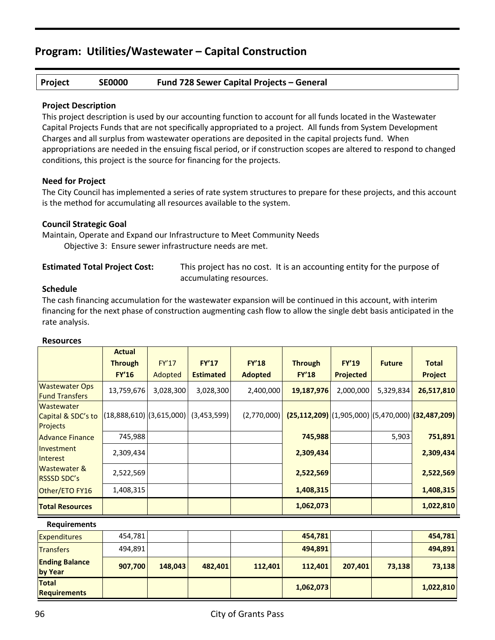#### **Project SE0000 Fund 728 Sewer Capital Projects – General**

#### **Project Description**

This project description is used by our accounting function to account for all funds located in the Wastewater Capital Projects Funds that are not specifically appropriated to a project. All funds from System Development Charges and all surplus from wastewater operations are deposited in the capital projects fund. When appropriations are needed in the ensuing fiscal period, or if construction scopes are altered to respond to changed conditions, this project is the source for financing for the projects.

#### **Need for Project**

The City Council has implemented a series of rate system structures to prepare for these projects, and this account is the method for accumulating all resources available to the system.

#### **Council Strategic Goal**

Maintain, Operate and Expand our Infrastructure to Meet Community Needs Objective 3: Ensure sewer infrastructure needs are met.

**Estimated Total Project Cost:** This project has no cost. It is an accounting entity for the purpose of accumulating resources.

#### **Schedule**

The cash financing accumulation for the wastewater expansion will be continued in this account, with interim financing for the next phase of construction augmenting cash flow to allow the single debt basis anticipated in the rate analysis.

|                                                | <b>Actual</b>                |           |                  |                |                                                     |                  |               |                |
|------------------------------------------------|------------------------------|-----------|------------------|----------------|-----------------------------------------------------|------------------|---------------|----------------|
|                                                | <b>Through</b>               | FY'17     | <b>FY'17</b>     | <b>FY'18</b>   | <b>Through</b>                                      | <b>FY'19</b>     | <b>Future</b> | <b>Total</b>   |
|                                                | <b>FY'16</b>                 | Adopted   | <b>Estimated</b> | <b>Adopted</b> | <b>FY'18</b>                                        | <b>Projected</b> |               | <b>Project</b> |
| <b>Wastewater Ops</b><br><b>Fund Transfers</b> | 13,759,676                   | 3,028,300 | 3,028,300        | 2,400,000      | 19,187,976                                          | 2,000,000        | 5,329,834     | 26,517,810     |
| Wastewater<br>Capital & SDC's to<br>Projects   | $(18,888,610)$ $(3,615,000)$ |           | (3,453,599)      | (2,770,000)    | $(25,112,209)$ (1,905,000) (5,470,000) (32,487,209) |                  |               |                |
| <b>Advance Finance</b>                         | 745,988                      |           |                  |                | 745,988                                             |                  | 5,903         | 751,891        |
| <b>Investment</b><br>Interest                  | 2,309,434                    |           |                  |                | 2,309,434                                           |                  |               | 2,309,434      |
| <b>Wastewater &amp;</b><br><b>RSSSD SDC's</b>  | 2,522,569                    |           |                  |                | 2,522,569                                           |                  |               | 2,522,569      |
| Other/ETO FY16                                 | 1,408,315                    |           |                  |                | 1,408,315                                           |                  |               | 1,408,315      |
| <b>Total Resources</b>                         |                              |           |                  |                | 1,062,073                                           |                  |               | 1,022,810      |
| <b>Requirements</b>                            |                              |           |                  |                |                                                     |                  |               |                |
| <b>Expenditures</b>                            | 454,781                      |           |                  |                | 454,781                                             |                  |               | 454,781        |
| <b>Transfers</b>                               | 494,891                      |           |                  |                | 494,891                                             |                  |               | 494,891        |
| <b>Ending Balance</b><br>by Year               | 907,700                      | 148,043   | 482,401          | 112,401        | 112,401                                             | 207,401          | 73,138        | 73,138         |
| <b>Total</b>                                   |                              |           |                  |                |                                                     |                  |               |                |

#### **Resources**

**Requirements 1,062,073 1,022,810**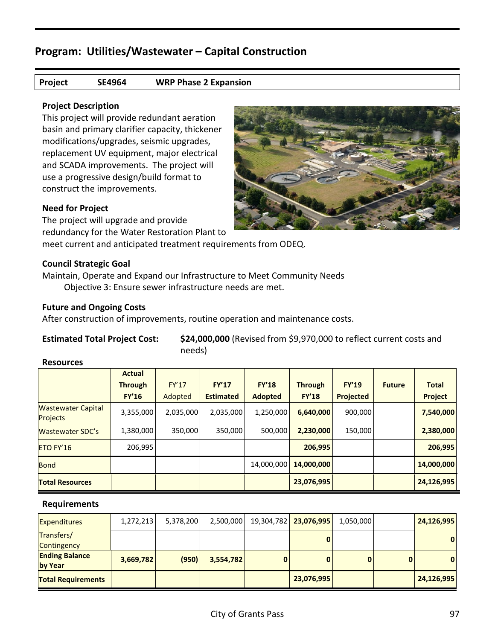#### **Project SE4964 WRP Phase 2 Expansion**

#### **Project Description**

This project will provide redundant aeration basin and primary clarifier capacity, thickener modifications/upgrades, seismic upgrades, replacement UV equipment, major electrical and SCADA improvements. The project will use a progressive design/build format to construct the improvements.

#### **Need for Project**

The project will upgrade and provide redundancy for the Water Restoration Plant to

meet current and anticipated treatment requirements from ODEQ.

#### **Council Strategic Goal**

Maintain, Operate and Expand our Infrastructure to Meet Community Needs Objective 3: Ensure sewer infrastructure needs are met.

#### **Future and Ongoing Costs**

After construction of improvements, routine operation and maintenance costs.

**Estimated Total Project Cost: \$24,000,000** (Revised from \$9,970,000 to reflect current costs and needs)

#### **Resources**

|                                              | <b>Actual</b>  |           |                  |                |                |              |               |                |
|----------------------------------------------|----------------|-----------|------------------|----------------|----------------|--------------|---------------|----------------|
|                                              | <b>Through</b> | FY'17     | FY'17            | FY'18          | <b>Through</b> | <b>FY'19</b> | <b>Future</b> | <b>Total</b>   |
|                                              | <b>FY'16</b>   | Adopted   | <b>Estimated</b> | <b>Adopted</b> | <b>FY'18</b>   | Projected    |               | <b>Project</b> |
| <b>Wastewater Capital</b><br><b>Projects</b> | 3,355,000      | 2,035,000 | 2,035,000        | 1,250,000      | 6,640,000      | 900,000      |               | 7,540,000      |
| <b>Wastewater SDC's</b>                      | 1,380,000      | 350,000   | 350,000          | 500,000        | 2,230,000      | 150,000      |               | 2,380,000      |
| ETO FY'16                                    | 206,995        |           |                  |                | 206,995        |              |               | 206,995        |
| <b>Bond</b>                                  |                |           |                  | 14,000,000     | 14,000,000     |              |               | 14,000,000     |
| <b>Total Resources</b>                       |                |           |                  |                | 23,076,995     |              |               | 24,126,995     |

| <b>Expenditures</b>              | 1,272,213 | 5,378,200 | 2,500,000 |   | 19,304,782 23,076,995 | 1,050,000 |   | 24,126,995 |
|----------------------------------|-----------|-----------|-----------|---|-----------------------|-----------|---|------------|
| Transfers/<br>Contingency        |           |           |           |   |                       |           |   | 0          |
| <b>Ending Balance</b><br>by Year | 3,669,782 | (950)     | 3,554,782 | 0 |                       |           | 0 | 0          |
| <b>Total Requirements</b>        |           |           |           |   | 23,076,995            |           |   | 24,126,995 |

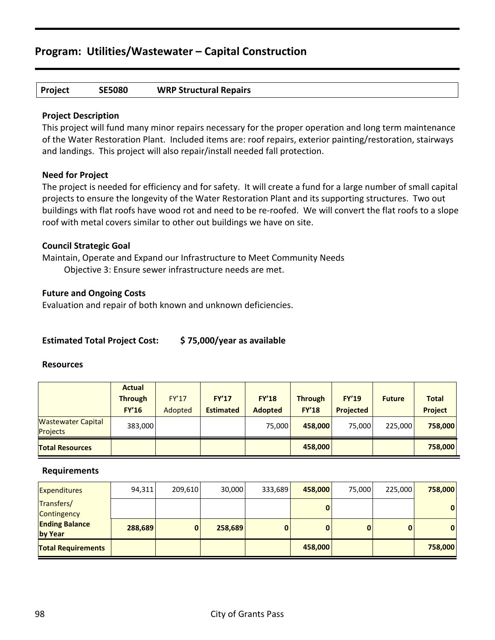#### **Project SE5080 WRP Structural Repairs**

#### **Project Description**

This project will fund many minor repairs necessary for the proper operation and long term maintenance of the Water Restoration Plant. Included items are: roof repairs, exterior painting/restoration, stairways and landings. This project will also repair/install needed fall protection.

#### **Need for Project**

The project is needed for efficiency and for safety. It will create a fund for a large number of small capital projects to ensure the longevity of the Water Restoration Plant and its supporting structures. Two out buildings with flat roofs have wood rot and need to be re-roofed. We will convert the flat roofs to a slope roof with metal covers similar to other out buildings we have on site.

#### **Council Strategic Goal**

Maintain, Operate and Expand our Infrastructure to Meet Community Needs Objective 3: Ensure sewer infrastructure needs are met.

#### **Future and Ongoing Costs**

Evaluation and repair of both known and unknown deficiencies.

#### **Estimated Total Project Cost: \$ 75,000/year as available**

#### **Resources**

|                                       | <b>Actual</b><br><b>Through</b><br><b>FY'16</b> | <b>FY'17</b><br>Adopted | <b>FY'17</b><br><b>Estimated</b> | <b>FY'18</b><br><b>Adopted</b> | <b>Through</b><br><b>FY'18</b> | <b>FY'19</b><br><b>Projected</b> | <b>Future</b> | <b>Total</b><br><b>Project</b> |
|---------------------------------------|-------------------------------------------------|-------------------------|----------------------------------|--------------------------------|--------------------------------|----------------------------------|---------------|--------------------------------|
| <b>Wastewater Capital</b><br>Projects | 383,000                                         |                         |                                  | 75,000                         | 458,000                        | 75,000                           | 225,000       | 758,000                        |
| <b>Total Resources</b>                |                                                 |                         |                                  |                                | 458,000                        |                                  |               | 758,000                        |

| <b>Expenditures</b>              | 94,311  | 209,610     | 30,000  | 333,689  | 458,000 | 75,000 | 225,000  | 758,000 |
|----------------------------------|---------|-------------|---------|----------|---------|--------|----------|---------|
| Transfers/<br>Contingency        |         |             |         |          |         |        |          | 0       |
| <b>Ending Balance</b><br>by Year | 288,689 | $\mathbf 0$ | 258,689 | $\bf{0}$ |         |        | $\bf{0}$ | 0       |
| <b>Total Requirements</b>        |         |             |         |          | 458,000 |        |          | 758,000 |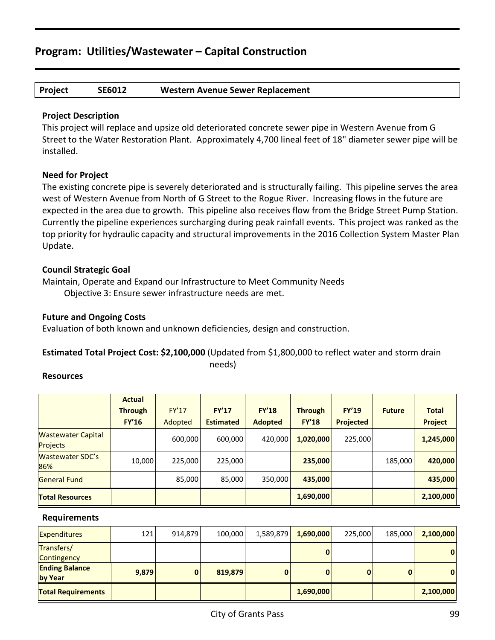#### **Project SE6012 Western Avenue Sewer Replacement**

#### **Project Description**

This project will replace and upsize old deteriorated concrete sewer pipe in Western Avenue from G Street to the Water Restoration Plant. Approximately 4,700 lineal feet of 18" diameter sewer pipe will be installed.

#### **Need for Project**

The existing concrete pipe is severely deteriorated and is structurally failing. This pipeline serves the area west of Western Avenue from North of G Street to the Rogue River. Increasing flows in the future are expected in the area due to growth. This pipeline also receives flow from the Bridge Street Pump Station. Currently the pipeline experiences surcharging during peak rainfall events. This project was ranked as the top priority for hydraulic capacity and structural improvements in the 2016 Collection System Master Plan Update.

#### **Council Strategic Goal**

Maintain, Operate and Expand our Infrastructure to Meet Community Needs Objective 3: Ensure sewer infrastructure needs are met.

#### **Future and Ongoing Costs**

Evaluation of both known and unknown deficiencies, design and construction.

#### **Estimated Total Project Cost: \$2,100,000** (Updated from \$1,800,000 to reflect water and storm drain needs)

#### **Resources**

|                                              | <b>Actual</b><br><b>Through</b><br><b>FY'16</b> | <b>FY'17</b><br>Adopted | <b>FY'17</b><br><b>Estimated</b> | <b>FY'18</b><br><b>Adopted</b> | <b>Through</b><br><b>FY'18</b> | <b>FY'19</b><br>Projected | <b>Future</b> | <b>Total</b><br>Project |
|----------------------------------------------|-------------------------------------------------|-------------------------|----------------------------------|--------------------------------|--------------------------------|---------------------------|---------------|-------------------------|
| <b>Wastewater Capital</b><br><b>Projects</b> |                                                 | 600,000                 | 600,000                          | 420,000                        | 1,020,000                      | 225,000                   |               | 1,245,000               |
| <b>Wastewater SDC's</b><br>86%               | 10,000                                          | 225,000                 | 225,000                          |                                | 235,000                        |                           | 185,000       | 420,000                 |
| <b>General Fund</b>                          |                                                 | 85,000                  | 85,000                           | 350,000                        | 435,000                        |                           |               | 435,000                 |
| <b>Total Resources</b>                       |                                                 |                         |                                  |                                | 1,690,000                      |                           |               | 2,100,000               |

| <b>Expenditures</b>              | 121   | 914,879      | 100,000 | 1,589,879 | 1,690,000 | 225,000 | 185,000      | 2,100,000 |
|----------------------------------|-------|--------------|---------|-----------|-----------|---------|--------------|-----------|
| Transfers/<br>Contingency        |       |              |         |           |           |         |              | 0         |
| <b>Ending Balance</b><br>by Year | 9,879 | $\mathbf{0}$ | 819,879 | $\bf{0}$  |           |         | $\mathbf{0}$ | 0         |
| <b>Total Requirements</b>        |       |              |         |           | 1,690,000 |         |              | 2,100,000 |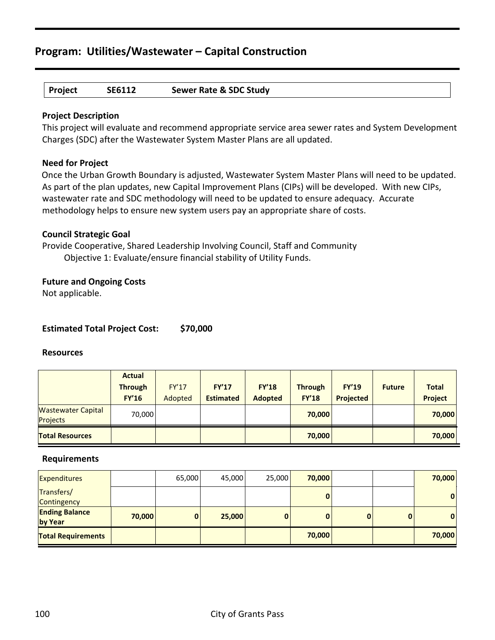## **Project SE6112 Sewer Rate & SDC Study**

#### **Project Description**

This project will evaluate and recommend appropriate service area sewer rates and System Development Charges (SDC) after the Wastewater System Master Plans are all updated.

#### **Need for Project**

Once the Urban Growth Boundary is adjusted, Wastewater System Master Plans will need to be updated. As part of the plan updates, new Capital Improvement Plans (CIPs) will be developed. With new CIPs, wastewater rate and SDC methodology will need to be updated to ensure adequacy. Accurate methodology helps to ensure new system users pay an appropriate share of costs.

#### **Council Strategic Goal**

Provide Cooperative, Shared Leadership Involving Council, Staff and Community Objective 1: Evaluate/ensure financial stability of Utility Funds.

#### **Future and Ongoing Costs**

Not applicable.

#### **Estimated Total Project Cost: \$70,000**

#### **Resources**

|                                              | <b>Actual</b><br><b>Through</b><br><b>FY'16</b> | <b>FY'17</b><br>Adopted | <b>FY'17</b><br><b>Estimated</b> | <b>FY'18</b><br><b>Adopted</b> | <b>Through</b><br><b>FY'18</b> | <b>FY'19</b><br><b>Projected</b> | <b>Future</b> | <b>Total</b><br><b>Project</b> |
|----------------------------------------------|-------------------------------------------------|-------------------------|----------------------------------|--------------------------------|--------------------------------|----------------------------------|---------------|--------------------------------|
| <b>Wastewater Capital</b><br><b>Projects</b> | 70,000                                          |                         |                                  |                                | 70,000                         |                                  |               | 70,000                         |
| <b>Total Resources</b>                       |                                                 |                         |                                  |                                | 70,000                         |                                  |               | 70,000                         |

| <b>Expenditures</b>              |        | 65,000 | 45,000 | 25,000   | 70,000 |   | 70,000       |
|----------------------------------|--------|--------|--------|----------|--------|---|--------------|
| Transfers/<br>Contingency        |        |        |        |          |        |   | $\mathbf{0}$ |
| <b>Ending Balance</b><br>by Year | 70,000 | 0      | 25,000 | $\bf{0}$ |        | 0 | $\mathbf{0}$ |
| <b>Total Requirements</b>        |        |        |        |          | 70,000 |   | 70,000       |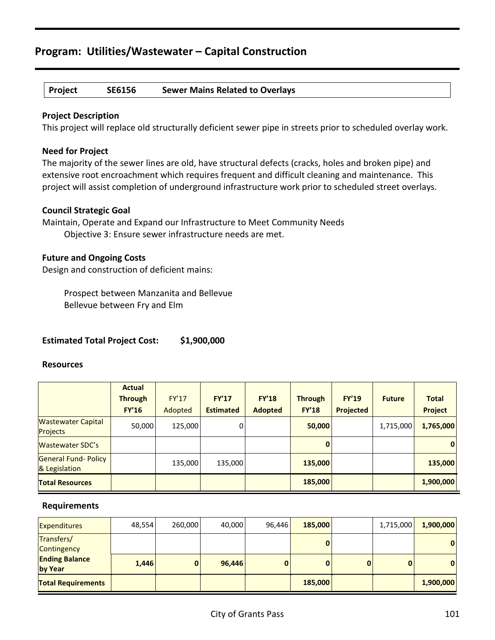#### **Project SE6156 Sewer Mains Related to Overlays**

#### **Project Description**

This project will replace old structurally deficient sewer pipe in streets prior to scheduled overlay work.

#### **Need for Project**

The majority of the sewer lines are old, have structural defects (cracks, holes and broken pipe) and extensive root encroachment which requires frequent and difficult cleaning and maintenance. This project will assist completion of underground infrastructure work prior to scheduled street overlays.

#### **Council Strategic Goal**

Maintain, Operate and Expand our Infrastructure to Meet Community Needs Objective 3: Ensure sewer infrastructure needs are met.

#### **Future and Ongoing Costs**

Design and construction of deficient mains:

Prospect between Manzanita and Bellevue Bellevue between Fry and Elm

#### **Estimated Total Project Cost: \$1,900,000**

#### **Resources**

|                                              | <b>Actual</b>  |              |                  |                |                |              |               |                |
|----------------------------------------------|----------------|--------------|------------------|----------------|----------------|--------------|---------------|----------------|
|                                              | <b>Through</b> | <b>FY'17</b> | FY'17            | FY'18          | <b>Through</b> | <b>FY'19</b> | <b>Future</b> | <b>Total</b>   |
|                                              | <b>FY'16</b>   | Adopted      | <b>Estimated</b> | <b>Adopted</b> | <b>FY'18</b>   | Projected    |               | <b>Project</b> |
| <b>Wastewater Capital</b><br><b>Projects</b> | 50,000         | 125,000      | $\overline{0}$   |                | 50,000         |              | 1,715,000     | 1,765,000      |
| <b>Wastewater SDC's</b>                      |                |              |                  |                | $\mathbf{0}$   |              |               | 0              |
| General Fund- Policy<br>& Legislation        |                | 135,000      | 135,000          |                | 135,000        |              |               | 135,000        |
| <b>Total Resources</b>                       |                |              |                  |                | 185,000        |              |               | 1,900,000      |

| <b>Expenditures</b>              | 48,554 | 260,000      | 40,000 | 96,446 | 185,000 | 1,715,000 | 1,900,000    |
|----------------------------------|--------|--------------|--------|--------|---------|-----------|--------------|
| Transfers/<br>Contingency        |        |              |        |        |         |           | $\mathbf{0}$ |
| <b>Ending Balance</b><br>by Year | 1,446  | $\mathbf{0}$ | 96,446 | 0      |         | 0         | $\mathbf{0}$ |
| <b>Total Requirements</b>        |        |              |        |        | 185,000 |           | 1,900,000    |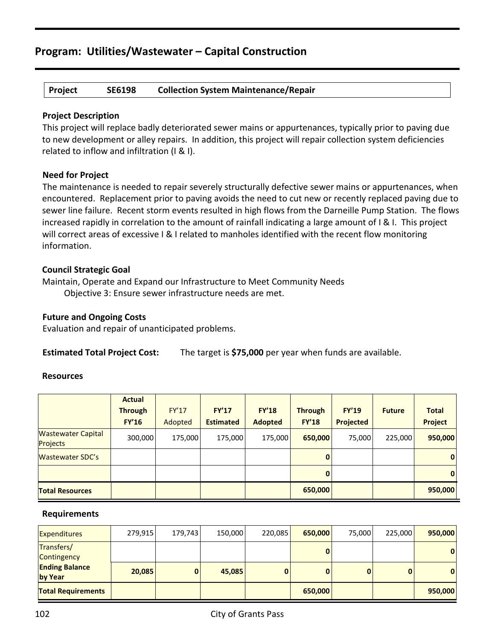#### **Project SE6198 Collection System Maintenance/Repair**

#### **Project Description**

This project will replace badly deteriorated sewer mains or appurtenances, typically prior to paving due to new development or alley repairs. In addition, this project will repair collection system deficiencies related to inflow and infiltration (I & I).

#### **Need for Project**

The maintenance is needed to repair severely structurally defective sewer mains or appurtenances, when encountered. Replacement prior to paving avoids the need to cut new or recently replaced paving due to sewer line failure. Recent storm events resulted in high flows from the Darneille Pump Station. The flows increased rapidly in correlation to the amount of rainfall indicating a large amount of I & I. This project will correct areas of excessive I & I related to manholes identified with the recent flow monitoring information.

#### **Council Strategic Goal**

Maintain, Operate and Expand our Infrastructure to Meet Community Needs Objective 3: Ensure sewer infrastructure needs are met.

#### **Future and Ongoing Costs**

Evaluation and repair of unanticipated problems.

**Estimated Total Project Cost:** The target is **\$75,000** per year when funds are available.

#### **Resources**

|                                              | <b>Actual</b><br><b>Through</b> | <b>FY'17</b> | <b>FY'17</b>     | <b>FY'18</b>   | <b>Through</b> | <b>FY'19</b>     | <b>Future</b> | <b>Total</b>   |
|----------------------------------------------|---------------------------------|--------------|------------------|----------------|----------------|------------------|---------------|----------------|
|                                              | <b>FY'16</b>                    | Adopted      | <b>Estimated</b> | <b>Adopted</b> | <b>FY'18</b>   | <b>Projected</b> |               | <b>Project</b> |
| <b>Wastewater Capital</b><br><b>Projects</b> | 300,000                         | 175,000      | 175,000          | 175,000        | 650,000        | 75,000           | 225,000       | 950,000        |
| Wastewater SDC's                             |                                 |              |                  |                | $\bf{0}$       |                  |               | 0              |
|                                              |                                 |              |                  |                | $\mathbf{0}$   |                  |               | 0              |
| <b>Total Resources</b>                       |                                 |              |                  |                | 650,000        |                  |               | 950,000        |

| <b>Expenditures</b>              | 279,915 | 179,743      | 150,000 | 220,085 | 650,000 | 75,000 | 225,000 | 950,000      |
|----------------------------------|---------|--------------|---------|---------|---------|--------|---------|--------------|
| Transfers/<br>Contingency        |         |              |         |         | 0       |        |         | $\mathbf{0}$ |
| <b>Ending Balance</b><br>by Year | 20,085  | $\mathbf{0}$ | 45,085  | 0       | 0       |        | 0       | $\mathbf{0}$ |
| <b>Total Requirements</b>        |         |              |         |         | 650,000 |        |         | 950,000      |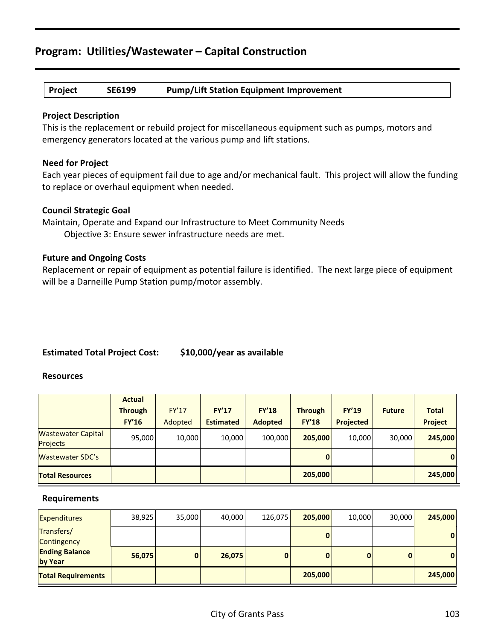#### **Project SE6199 Pump/Lift Station Equipment Improvement**

#### **Project Description**

This is the replacement or rebuild project for miscellaneous equipment such as pumps, motors and emergency generators located at the various pump and lift stations.

#### **Need for Project**

Each year pieces of equipment fail due to age and/or mechanical fault. This project will allow the funding to replace or overhaul equipment when needed.

#### **Council Strategic Goal**

Maintain, Operate and Expand our Infrastructure to Meet Community Needs Objective 3: Ensure sewer infrastructure needs are met.

#### **Future and Ongoing Costs**

Replacement or repair of equipment as potential failure is identified. The next large piece of equipment will be a Darneille Pump Station pump/motor assembly.

#### **Estimated Total Project Cost: \$10,000/year as available**

#### **Resources**

|                                              | <b>Actual</b>  |              |                  |                |                |                  |               |                |
|----------------------------------------------|----------------|--------------|------------------|----------------|----------------|------------------|---------------|----------------|
|                                              | <b>Through</b> | <b>FY'17</b> | <b>FY'17</b>     | <b>FY'18</b>   | <b>Through</b> | <b>FY'19</b>     | <b>Future</b> | <b>Total</b>   |
|                                              | <b>FY'16</b>   | Adopted      | <b>Estimated</b> | <b>Adopted</b> | <b>FY'18</b>   | <b>Projected</b> |               | <b>Project</b> |
| <b>Wastewater Capital</b><br><b>Projects</b> | 95,000         | 10,000       | 10,000           | 100,000        | 205,000        | 10,000           | 30,000        | 245,000        |
| Wastewater SDC's                             |                |              |                  |                | 0              |                  |               | 0              |
| <b>Total Resources</b>                       |                |              |                  |                | 205,000        |                  |               | 245,000        |

| <b>Expenditures</b>              | 38,925 | 35,000       | 40,000 | 126,075 | 205,000 | 10,000 | 30,000 | 245,000     |
|----------------------------------|--------|--------------|--------|---------|---------|--------|--------|-------------|
| Transfers/<br>Contingency        |        |              |        |         |         |        |        | 0           |
| <b>Ending Balance</b><br>by Year | 56,075 | $\mathbf{0}$ | 26,075 |         | 0       |        |        | $\mathbf 0$ |
| <b>Total Requirements</b>        |        |              |        |         | 205,000 |        |        | 245,000     |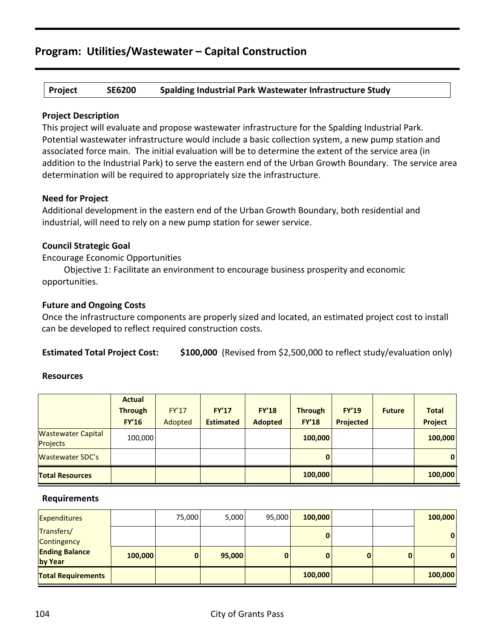#### **Project SE6200 Spalding Industrial Park Wastewater Infrastructure Study**

#### **Project Description**

This project will evaluate and propose wastewater infrastructure for the Spalding Industrial Park. Potential wastewater infrastructure would include a basic collection system, a new pump station and associated force main. The initial evaluation will be to determine the extent of the service area (in addition to the Industrial Park) to serve the eastern end of the Urban Growth Boundary. The service area determination will be required to appropriately size the infrastructure.

#### **Need for Project**

Additional development in the eastern end of the Urban Growth Boundary, both residential and industrial, will need to rely on a new pump station for sewer service.

#### **Council Strategic Goal**

Encourage Economic Opportunities

Objective 1: Facilitate an environment to encourage business prosperity and economic opportunities.

#### **Future and Ongoing Costs**

Once the infrastructure components are properly sized and located, an estimated project cost to install can be developed to reflect required construction costs.

**Estimated Total Project Cost: \$100,000** (Revised from \$2,500,000 to reflect study/evaluation only)

#### **Resources**

|                                              | <b>Actual</b>  |              |                  |                |                |                  |               |                |
|----------------------------------------------|----------------|--------------|------------------|----------------|----------------|------------------|---------------|----------------|
|                                              | <b>Through</b> | <b>FY'17</b> | <b>FY'17</b>     | <b>FY'18</b>   | <b>Through</b> | <b>FY'19</b>     | <b>Future</b> | <b>Total</b>   |
|                                              | <b>FY'16</b>   | Adopted      | <b>Estimated</b> | <b>Adopted</b> | <b>FY'18</b>   | <b>Projected</b> |               | <b>Project</b> |
| <b>Wastewater Capital</b><br><b>Projects</b> | 100,000        |              |                  |                | 100,000        |                  |               | 100,000        |
| <b>Wastewater SDC's</b>                      |                |              |                  |                | 0              |                  |               | $\mathbf{0}$   |
| <b>Total Resources</b>                       |                |              |                  |                | 100,000        |                  |               | 100,000        |

| <b>Expenditures</b>              |         | 75,000 | 5,000  | 95,000 | 100,000 |   | 100,000      |
|----------------------------------|---------|--------|--------|--------|---------|---|--------------|
| Transfers/<br>Contingency        |         |        |        |        |         |   | $\mathbf{0}$ |
| <b>Ending Balance</b><br>by Year | 100,000 | 0      | 95,000 | 0      |         | 0 | $\mathbf{0}$ |
| <b>Total Requirements</b>        |         |        |        |        | 100,000 |   | 100,000      |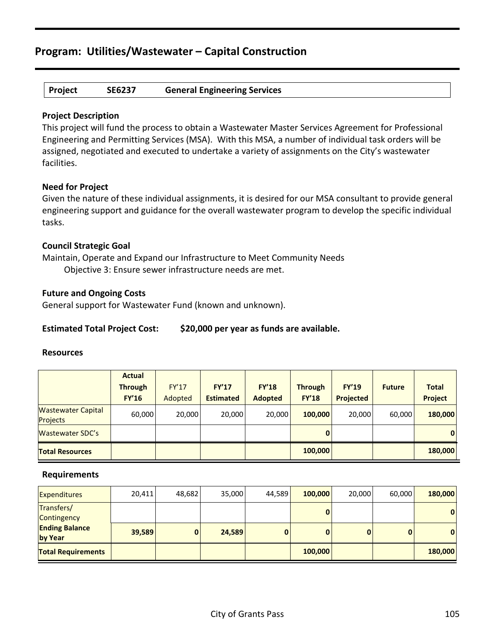#### **Project SE6237 General Engineering Services**

#### **Project Description**

This project will fund the process to obtain a Wastewater Master Services Agreement for Professional Engineering and Permitting Services (MSA). With this MSA, a number of individual task orders will be assigned, negotiated and executed to undertake a variety of assignments on the City's wastewater facilities.

#### **Need for Project**

Given the nature of these individual assignments, it is desired for our MSA consultant to provide general engineering support and guidance for the overall wastewater program to develop the specific individual tasks.

#### **Council Strategic Goal**

Maintain, Operate and Expand our Infrastructure to Meet Community Needs Objective 3: Ensure sewer infrastructure needs are met.

#### **Future and Ongoing Costs**

General support for Wastewater Fund (known and unknown).

#### **Estimated Total Project Cost: \$20,000 per year as funds are available.**

#### **Resources**

|                                              | <b>Actual</b>  |              |                  |                |                |                  |               |                |
|----------------------------------------------|----------------|--------------|------------------|----------------|----------------|------------------|---------------|----------------|
|                                              | <b>Through</b> | <b>FY'17</b> | <b>FY'17</b>     | <b>FY'18</b>   | <b>Through</b> | <b>FY'19</b>     | <b>Future</b> | <b>Total</b>   |
|                                              | <b>FY'16</b>   | Adopted      | <b>Estimated</b> | <b>Adopted</b> | <b>FY'18</b>   | <b>Projected</b> |               | <b>Project</b> |
| <b>Wastewater Capital</b><br><b>Projects</b> | 60,000         | 20,000       | 20,000           | 20,000         | 100,000        | 20,000           | 60,000        | 180,000        |
| <b>Wastewater SDC's</b>                      |                |              |                  |                | 0              |                  |               | $\mathbf{0}$   |
| <b>Total Resources</b>                       |                |              |                  |                | 100,000        |                  |               | 180,000        |

| <b>Expenditures</b>              | 20,411 | 48,682       | 35,000 | 44.589   | 100,000 | 20,000 | 60,000       | 180,000 |
|----------------------------------|--------|--------------|--------|----------|---------|--------|--------------|---------|
| Transfers/<br>Contingency        |        |              |        |          |         |        |              | 0       |
| <b>Ending Balance</b><br>by Year | 39,589 | $\mathbf{0}$ | 24,589 | $\bf{0}$ |         |        | $\mathbf{0}$ | 0       |
| <b>Total Requirements</b>        |        |              |        |          | 100,000 |        |              | 180,000 |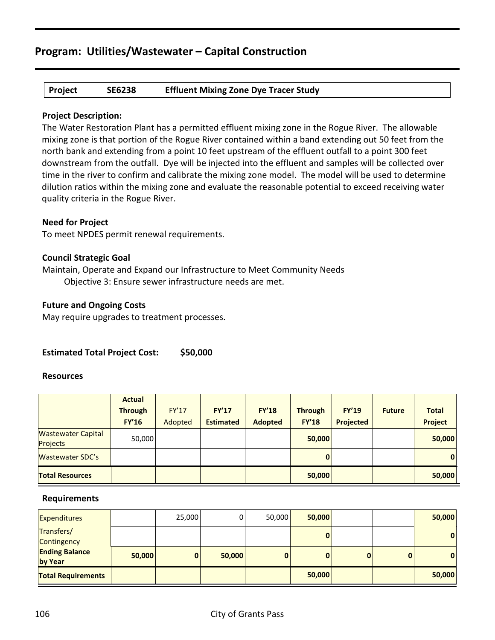#### **Project SE6238 Effluent Mixing Zone Dye Tracer Study**

#### **Project Description:**

The Water Restoration Plant has a permitted effluent mixing zone in the Rogue River. The allowable mixing zone is that portion of the Rogue River contained within a band extending out 50 feet from the north bank and extending from a point 10 feet upstream of the effluent outfall to a point 300 feet downstream from the outfall. Dye will be injected into the effluent and samples will be collected over time in the river to confirm and calibrate the mixing zone model. The model will be used to determine dilution ratios within the mixing zone and evaluate the reasonable potential to exceed receiving water quality criteria in the Rogue River.

#### **Need for Project**

To meet NPDES permit renewal requirements.

#### **Council Strategic Goal**

Maintain, Operate and Expand our Infrastructure to Meet Community Needs Objective 3: Ensure sewer infrastructure needs are met.

#### **Future and Ongoing Costs**

May require upgrades to treatment processes.

#### **Estimated Total Project Cost: \$50,000**

#### **Resources**

|                                              | <b>Actual</b><br><b>Through</b><br><b>FY'16</b> | <b>FY'17</b><br>Adopted | <b>FY'17</b><br><b>Estimated</b> | <b>FY'18</b><br><b>Adopted</b> | <b>Through</b><br><b>FY'18</b> | <b>FY'19</b><br><b>Projected</b> | <b>Future</b> | <b>Total</b><br><b>Project</b> |
|----------------------------------------------|-------------------------------------------------|-------------------------|----------------------------------|--------------------------------|--------------------------------|----------------------------------|---------------|--------------------------------|
| <b>Wastewater Capital</b><br><b>Projects</b> | 50,000                                          |                         |                                  |                                | 50,000                         |                                  |               | 50,000                         |
| <b>Wastewater SDC's</b>                      |                                                 |                         |                                  |                                | 0                              |                                  |               | $\mathbf{0}$                   |
| <b>Total Resources</b>                       |                                                 |                         |                                  |                                | 50,000                         |                                  |               | 50,000                         |

| <b>Expenditures</b>              |        | 25,000 | 0      | 50,000 | 50,000 |   | 50,000       |
|----------------------------------|--------|--------|--------|--------|--------|---|--------------|
| Transfers/<br>Contingency        |        |        |        |        |        |   | $\mathbf 0$  |
| <b>Ending Balance</b><br>by Year | 50,000 | 0      | 50,000 | 0      |        | 0 | $\mathbf{0}$ |
| <b>Total Requirements</b>        |        |        |        |        | 50,000 |   | 50,000       |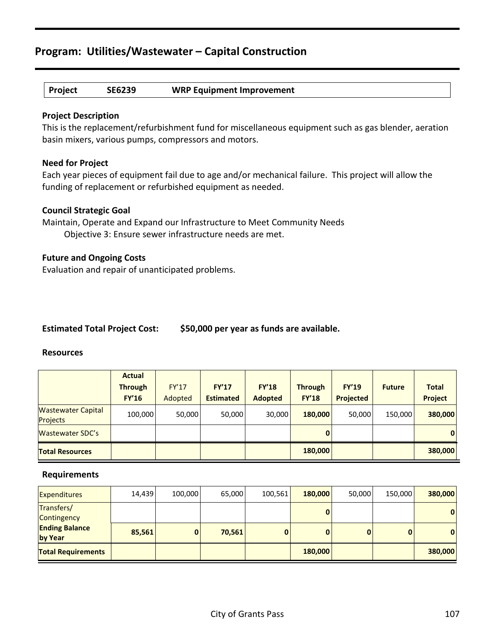### **Project SE6239 WRP Equipment Improvement**

#### **Project Description**

This is the replacement/refurbishment fund for miscellaneous equipment such as gas blender, aeration basin mixers, various pumps, compressors and motors.

#### **Need for Project**

Each year pieces of equipment fail due to age and/or mechanical failure. This project will allow the funding of replacement or refurbished equipment as needed.

#### **Council Strategic Goal**

Maintain, Operate and Expand our Infrastructure to Meet Community Needs Objective 3: Ensure sewer infrastructure needs are met.

#### **Future and Ongoing Costs**

Evaluation and repair of unanticipated problems.

#### **Estimated Total Project Cost: \$50,000 per year as funds are available.**

#### **Resources**

|                                              | <b>Actual</b>  |              |                  |                |                |                  |               |                |
|----------------------------------------------|----------------|--------------|------------------|----------------|----------------|------------------|---------------|----------------|
|                                              | <b>Through</b> | <b>FY'17</b> | <b>FY'17</b>     | <b>FY'18</b>   | <b>Through</b> | <b>FY'19</b>     | <b>Future</b> | <b>Total</b>   |
|                                              | <b>FY'16</b>   | Adopted      | <b>Estimated</b> | <b>Adopted</b> | <b>FY'18</b>   | <b>Projected</b> |               | <b>Project</b> |
| <b>Wastewater Capital</b><br><b>Projects</b> | 100,000        | 50,000       | 50,000           | 30,000         | 180,000        | 50,000           | 150,000       | 380,000        |
| <b>Wastewater SDC's</b>                      |                |              |                  |                | $\mathbf{0}$   |                  |               | $\mathbf{0}$   |
| <b>Total Resources</b>                       |                |              |                  |                | 180,000        |                  |               | 380,000        |

| <b>Expenditures</b>              | 14,439 | 100,000      | 65,000 | 100,561      | 180,000 | 50,000 | 150,000      | 380,000 |
|----------------------------------|--------|--------------|--------|--------------|---------|--------|--------------|---------|
| Transfers/<br>Contingency        |        |              |        |              |         |        |              | 0       |
| <b>Ending Balance</b><br>by Year | 85,561 | $\mathbf{0}$ | 70.561 | $\mathbf{0}$ |         |        | $\mathbf{0}$ | 0       |
| <b>Total Requirements</b>        |        |              |        |              | 180,000 |        |              | 380,000 |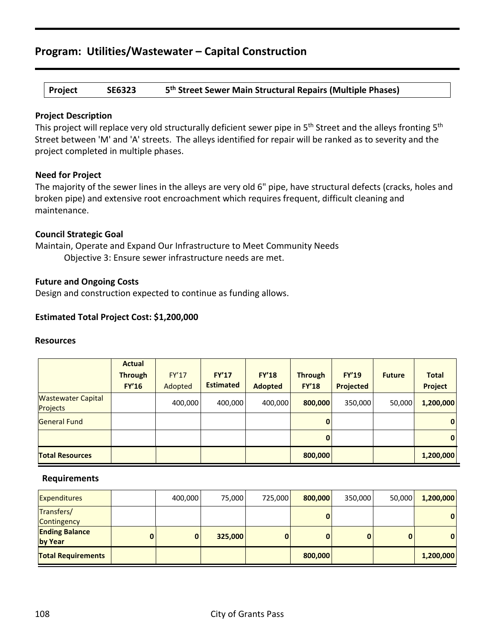**Project SE6323 5th Street Sewer Main Structural Repairs (Multiple Phases)**

#### **Project Description**

This project will replace very old structurally deficient sewer pipe in 5<sup>th</sup> Street and the alleys fronting 5<sup>th</sup> Street between 'M' and 'A' streets. The alleys identified for repair will be ranked as to severity and the project completed in multiple phases.

#### **Need for Project**

The majority of the sewer lines in the alleys are very old 6" pipe, have structural defects (cracks, holes and broken pipe) and extensive root encroachment which requires frequent, difficult cleaning and maintenance.

#### **Council Strategic Goal**

Maintain, Operate and Expand Our Infrastructure to Meet Community Needs Objective 3: Ensure sewer infrastructure needs are met.

#### **Future and Ongoing Costs**

Design and construction expected to continue as funding allows.

#### **Estimated Total Project Cost: \$1,200,000**

#### **Resources**

|                                              | <b>Actual</b><br><b>Through</b><br><b>FY'16</b> | <b>FY'17</b><br>Adopted | <b>FY'17</b><br><b>Estimated</b> | <b>FY'18</b><br><b>Adopted</b> | <b>Through</b><br><b>FY'18</b> | <b>FY'19</b><br><b>Projected</b> | <b>Future</b> | <b>Total</b><br><b>Project</b> |
|----------------------------------------------|-------------------------------------------------|-------------------------|----------------------------------|--------------------------------|--------------------------------|----------------------------------|---------------|--------------------------------|
| <b>Wastewater Capital</b><br><b>Projects</b> |                                                 | 400,000                 | 400,000                          | 400,000                        | 800,000                        | 350,000                          | 50,000        | 1,200,000                      |
| <b>General Fund</b>                          |                                                 |                         |                                  |                                | $\mathbf{0}$                   |                                  |               | 0                              |
|                                              |                                                 |                         |                                  |                                | $\mathbf{0}$                   |                                  |               | 0                              |
| <b>Total Resources</b>                       |                                                 |                         |                                  |                                | 800,000                        |                                  |               | 1,200,000                      |

| <b>Expenditures</b>              |   | 400,000      | 75,000  | 725,000  | 800,000 | 350,000 | 50,000 | 1,200,000    |
|----------------------------------|---|--------------|---------|----------|---------|---------|--------|--------------|
| Transfers/<br>Contingency        |   |              |         |          | 0       |         |        | $\mathbf{0}$ |
| <b>Ending Balance</b><br>by Year | 0 | $\mathbf{0}$ | 325,000 | $\bf{0}$ |         |         | 0      | 0            |
| <b>Total Requirements</b>        |   |              |         |          | 800,000 |         |        | 1,200,000    |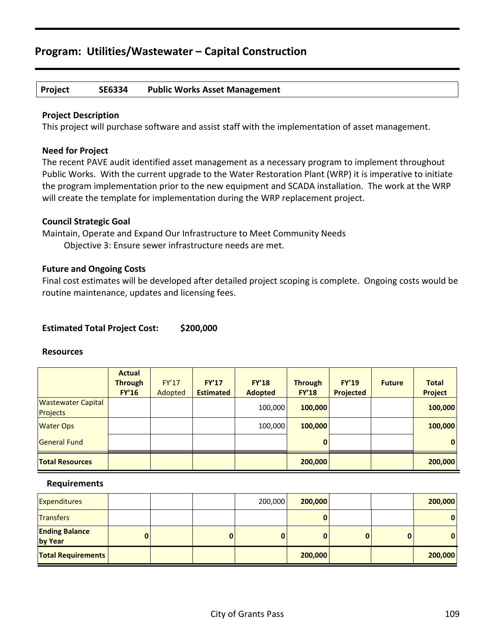#### **Project SE6334 Public Works Asset Management**

#### **Project Description**

This project will purchase software and assist staff with the implementation of asset management.

#### **Need for Project**

The recent PAVE audit identified asset management as a necessary program to implement throughout Public Works. With the current upgrade to the Water Restoration Plant (WRP) it is imperative to initiate the program implementation prior to the new equipment and SCADA installation. The work at the WRP will create the template for implementation during the WRP replacement project.

#### **Council Strategic Goal**

Maintain, Operate and Expand Our Infrastructure to Meet Community Needs Objective 3: Ensure sewer infrastructure needs are met.

#### **Future and Ongoing Costs**

Final cost estimates will be developed after detailed project scoping is complete. Ongoing costs would be routine maintenance, updates and licensing fees.

#### **Estimated Total Project Cost: \$200,000**

#### **Resources**

|                                              | <b>Actual</b><br><b>Through</b><br><b>FY'16</b> | FY'17<br>Adopted | <b>FY'17</b><br><b>Estimated</b> | FY'18<br><b>Adopted</b> | <b>Through</b><br><b>FY'18</b> | <b>FY'19</b><br><b>Projected</b> | <b>Future</b> | <b>Total</b><br><b>Project</b> |
|----------------------------------------------|-------------------------------------------------|------------------|----------------------------------|-------------------------|--------------------------------|----------------------------------|---------------|--------------------------------|
| <b>Wastewater Capital</b><br><b>Projects</b> |                                                 |                  |                                  | 100,000                 | 100,000                        |                                  |               | 100,000                        |
| <b>Water Ops</b>                             |                                                 |                  |                                  | 100,000                 | 100,000                        |                                  |               | 100,000                        |
| <b>General Fund</b>                          |                                                 |                  |                                  |                         | 0                              |                                  |               | $\mathbf{0}$                   |
| <b>Total Resources</b>                       |                                                 |                  |                                  |                         | 200,000                        |                                  |               | 200,000                        |

| <b>Expenditures</b>              |  |   | 200,000 | 200,000 |   |   | 200,000 |
|----------------------------------|--|---|---------|---------|---|---|---------|
| <b>Transfers</b>                 |  |   |         |         |   |   | 0       |
| <b>Ending Balance</b><br>by Year |  | 0 |         |         | 0 | 0 | 0       |
| <b>Total Requirements</b>        |  |   |         | 200,000 |   |   | 200,000 |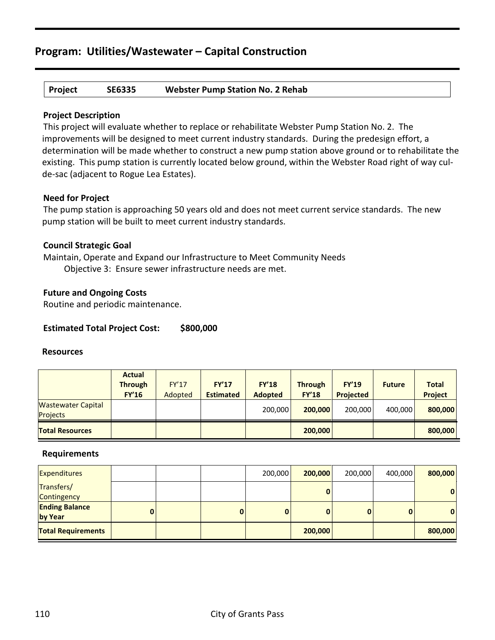#### **Project SE6335 Webster Pump Station No. 2 Rehab**

#### **Project Description**

This project will evaluate whether to replace or rehabilitate Webster Pump Station No. 2. The improvements will be designed to meet current industry standards. During the predesign effort, a determination will be made whether to construct a new pump station above ground or to rehabilitate the existing. This pump station is currently located below ground, within the Webster Road right of way culde-sac (adjacent to Rogue Lea Estates).

#### **Need for Project**

The pump station is approaching 50 years old and does not meet current service standards. The new pump station will be built to meet current industry standards.

#### **Council Strategic Goal**

Maintain, Operate and Expand our Infrastructure to Meet Community Needs Objective 3: Ensure sewer infrastructure needs are met.

#### **Future and Ongoing Costs**

Routine and periodic maintenance.

#### **Estimated Total Project Cost: \$800,000**

#### **Resources**

|                                              | <b>Actual</b><br><b>Through</b><br><b>FY'16</b> | <b>FY'17</b><br>Adopted | <b>FY'17</b><br><b>Estimated</b> | <b>FY'18</b><br><b>Adopted</b> | <b>Through</b><br><b>FY'18</b> | <b>FY'19</b><br>Projected | <b>Future</b> | <b>Total</b><br><b>Project</b> |
|----------------------------------------------|-------------------------------------------------|-------------------------|----------------------------------|--------------------------------|--------------------------------|---------------------------|---------------|--------------------------------|
| <b>Wastewater Capital</b><br><b>Projects</b> |                                                 |                         |                                  | 200,000                        | 200,000                        | 200.000                   | 400,000       | 800,000                        |
| <b>Total Resources</b>                       |                                                 |                         |                                  |                                | 200,000                        |                           |               | 800,000                        |

| <b>Expenditures</b>              |   |   | 200,000     | 200,000  | 200,000 | 400,000  | 800,000      |
|----------------------------------|---|---|-------------|----------|---------|----------|--------------|
| Transfers/<br>Contingency        |   |   |             |          |         |          | $\mathbf{0}$ |
| <b>Ending Balance</b><br>by Year | 0 | 0 | $\mathbf 0$ | $\bf{0}$ | 0       | $\bf{0}$ | $\mathbf{0}$ |
| <b>Total Requirements</b>        |   |   |             | 200,000  |         |          | 800,000      |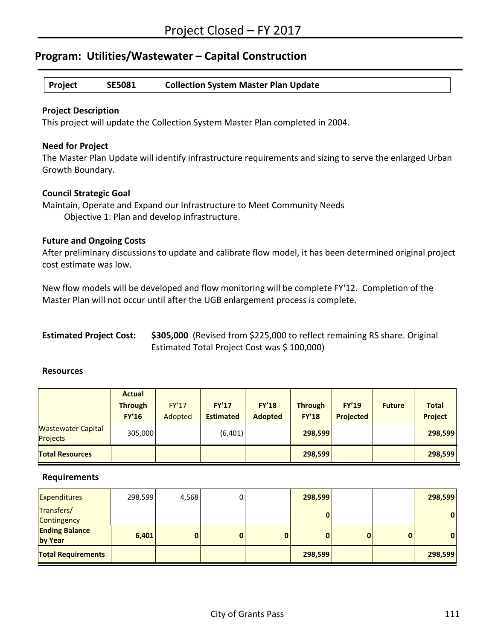#### **Project SE5081 Collection System Master Plan Update**

#### **Project Description**

This project will update the Collection System Master Plan completed in 2004.

#### **Need for Project**

The Master Plan Update will identify infrastructure requirements and sizing to serve the enlarged Urban Growth Boundary.

#### **Council Strategic Goal**

Maintain, Operate and Expand our Infrastructure to Meet Community Needs Objective 1: Plan and develop infrastructure.

#### **Future and Ongoing Costs**

After preliminary discussions to update and calibrate flow model, it has been determined original project cost estimate was low.

New flow models will be developed and flow monitoring will be complete FY'12. Completion of the Master Plan will not occur until after the UGB enlargement process is complete.

| <b>Estimated Project Cost:</b> | \$305,000 (Revised from \$225,000 to reflect remaining RS share. Original |
|--------------------------------|---------------------------------------------------------------------------|
|                                | Estimated Total Project Cost was \$100,000)                               |

#### **Resources**

|                                       | <b>Actual</b><br><b>Through</b><br><b>FY'16</b> | <b>FY'17</b><br>Adopted | <b>FY'17</b><br><b>Estimated</b> | <b>FY'18</b><br><b>Adopted</b> | <b>Through</b><br><b>FY'18</b> | <b>FY'19</b><br><b>Projected</b> | <b>Future</b> | <b>Total</b><br><b>Project</b> |
|---------------------------------------|-------------------------------------------------|-------------------------|----------------------------------|--------------------------------|--------------------------------|----------------------------------|---------------|--------------------------------|
| <b>Wastewater Capital</b><br>Projects | 305,000                                         |                         | (6,401)                          |                                | 298,599                        |                                  |               | 298,599                        |
| <b>Total Resources</b>                |                                                 |                         |                                  |                                | 298,599                        |                                  |               | 298,599                        |

| <b>Expenditures</b>              | 298,599 | 4,568    | 0 |   | 298,599 |  | 298,599      |
|----------------------------------|---------|----------|---|---|---------|--|--------------|
| Transfers/<br>Contingency        |         |          |   |   | 0       |  | $\mathbf{0}$ |
| <b>Ending Balance</b><br>by Year | 6,401   | $\bf{0}$ | 0 | 0 | 0       |  | 0            |
| <b>Total Requirements</b>        |         |          |   |   | 298,599 |  | 298,599      |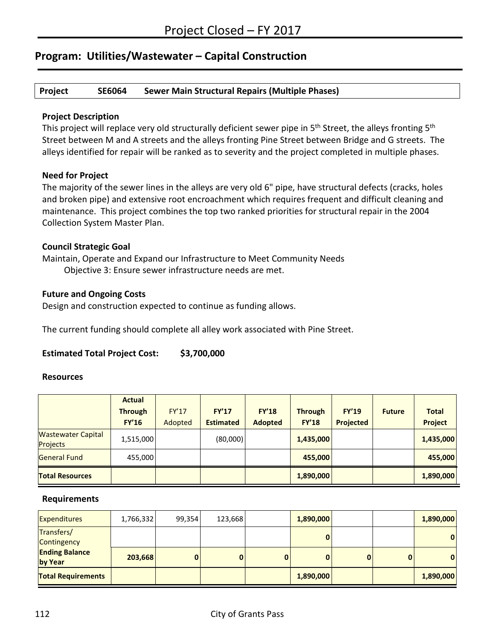#### **Project SE6064 Sewer Main Structural Repairs (Multiple Phases)**

#### **Project Description**

This project will replace very old structurally deficient sewer pipe in 5<sup>th</sup> Street, the alleys fronting 5<sup>th</sup> Street between M and A streets and the alleys fronting Pine Street between Bridge and G streets. The alleys identified for repair will be ranked as to severity and the project completed in multiple phases.

#### **Need for Project**

The majority of the sewer lines in the alleys are very old 6" pipe, have structural defects (cracks, holes and broken pipe) and extensive root encroachment which requires frequent and difficult cleaning and maintenance. This project combines the top two ranked priorities for structural repair in the 2004 Collection System Master Plan.

#### **Council Strategic Goal**

Maintain, Operate and Expand our Infrastructure to Meet Community Needs Objective 3: Ensure sewer infrastructure needs are met.

#### **Future and Ongoing Costs**

Design and construction expected to continue as funding allows.

The current funding should complete all alley work associated with Pine Street.

#### **Estimated Total Project Cost: \$3,700,000**

#### **Resources**

|                                              | <b>Actual</b>  |              |                  |                |                |              |               |                |
|----------------------------------------------|----------------|--------------|------------------|----------------|----------------|--------------|---------------|----------------|
|                                              | <b>Through</b> | <b>FY'17</b> | <b>FY'17</b>     | <b>FY'18</b>   | <b>Through</b> | <b>FY'19</b> | <b>Future</b> | <b>Total</b>   |
|                                              | <b>FY'16</b>   | Adopted      | <b>Estimated</b> | <b>Adopted</b> | <b>FY'18</b>   | Projected    |               | <b>Project</b> |
| <b>Wastewater Capital</b><br><b>Projects</b> | 1,515,000      |              | (80,000)         |                | 1,435,000      |              |               | 1,435,000      |
| General Fund                                 | 455,000        |              |                  |                | 455,000        |              |               | 455,000        |
| <b>Total Resources</b>                       |                |              |                  |                | 1,890,000      |              |               | 1,890,000      |

| <b>Expenditures</b>              | 1,766,332 | 99,354 | 123,668  |             | 1,890,000    |   | 1,890,000    |
|----------------------------------|-----------|--------|----------|-------------|--------------|---|--------------|
| Transfers/<br>Contingency        |           |        |          |             |              |   | $\mathbf{0}$ |
| <b>Ending Balance</b><br>by Year | 203,668   | 0      | $\bf{0}$ | $\mathbf 0$ | $\mathbf{0}$ | 0 | $\mathbf{0}$ |
| <b>Total Requirements</b>        |           |        |          |             | 1,890,000    |   | 1,890,000    |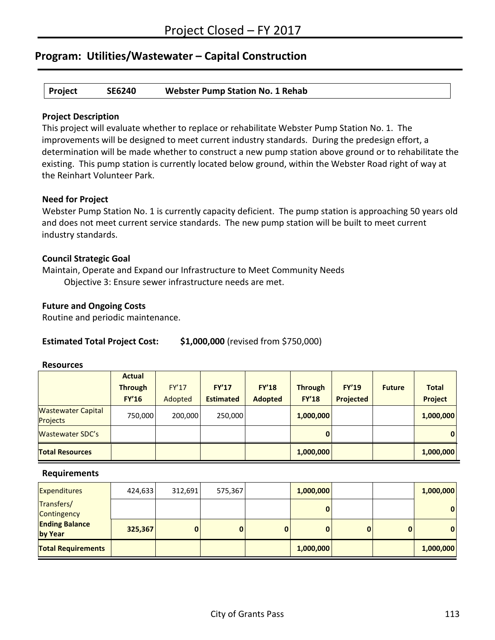#### **Project SE6240 Webster Pump Station No. 1 Rehab**

#### **Project Description**

This project will evaluate whether to replace or rehabilitate Webster Pump Station No. 1. The improvements will be designed to meet current industry standards. During the predesign effort, a determination will be made whether to construct a new pump station above ground or to rehabilitate the existing. This pump station is currently located below ground, within the Webster Road right of way at the Reinhart Volunteer Park.

#### **Need for Project**

Webster Pump Station No. 1 is currently capacity deficient. The pump station is approaching 50 years old and does not meet current service standards. The new pump station will be built to meet current industry standards.

#### **Council Strategic Goal**

Maintain, Operate and Expand our Infrastructure to Meet Community Needs Objective 3: Ensure sewer infrastructure needs are met.

#### **Future and Ongoing Costs**

Routine and periodic maintenance.

#### **Estimated Total Project Cost: \$1,000,000** (revised from \$750,000)

#### **Resources**

|                                              | <b>Actual</b>  |              |                  |                |                |                  |               |                |
|----------------------------------------------|----------------|--------------|------------------|----------------|----------------|------------------|---------------|----------------|
|                                              | <b>Through</b> | <b>FY'17</b> | <b>FY'17</b>     | <b>FY'18</b>   | <b>Through</b> | <b>FY'19</b>     | <b>Future</b> | <b>Total</b>   |
|                                              | <b>FY'16</b>   | Adopted      | <b>Estimated</b> | <b>Adopted</b> | <b>FY'18</b>   | <b>Projected</b> |               | <b>Project</b> |
| <b>Wastewater Capital</b><br><b>Projects</b> | 750,000        | 200,000      | 250,000          |                | 1,000,000      |                  |               | 1,000,000      |
| <b>Wastewater SDC's</b>                      |                |              |                  |                | 0              |                  |               | $\mathbf{0}$   |
| <b>Total Resources</b>                       |                |              |                  |                | 1,000,000      |                  |               | 1,000,000      |

| <b>Expenditures</b>              | 424,633 | 312,691      | 575,367 |             | 1,000,000 |              | 1,000,000 |
|----------------------------------|---------|--------------|---------|-------------|-----------|--------------|-----------|
| Transfers/<br>Contingency        |         |              |         |             |           |              | 0         |
| <b>Ending Balance</b><br>by Year | 325,367 | $\mathbf{0}$ | 0       | $\mathbf 0$ | 0         | $\mathbf{0}$ | 0         |
| <b>Total Requirements</b>        |         |              |         |             | 1,000,000 |              | 1,000,000 |